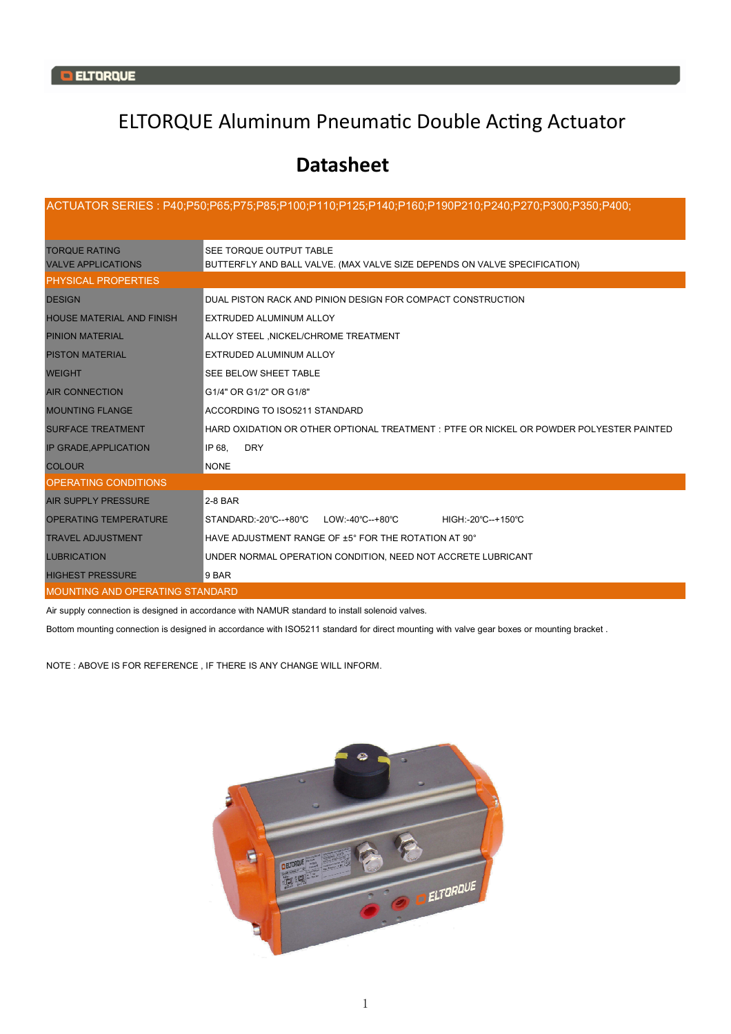## ELTORQUE Aluminum Pneumatic Double Acting Actuator

## **Datasheet**

| ,00;P190P210;P270;P50;P60;P65;P75;P85;P100;P110;P125;P140;P160;P190P210;P240;P270;P300;P350;P400;P40                                                      |                                                                                         |  |  |  |  |  |  |  |  |
|-----------------------------------------------------------------------------------------------------------------------------------------------------------|-----------------------------------------------------------------------------------------|--|--|--|--|--|--|--|--|
| SEE TORQUE OUTPUT TABLE<br><b>TORQUE RATING</b><br>BUTTERFLY AND BALL VALVE. (MAX VALVE SIZE DEPENDS ON VALVE SPECIFICATION)<br><b>VALVE APPLICATIONS</b> |                                                                                         |  |  |  |  |  |  |  |  |
| <b>PHYSICAL PROPERTIES</b>                                                                                                                                |                                                                                         |  |  |  |  |  |  |  |  |
| DUAL PISTON RACK AND PINION DESIGN FOR COMPACT CONSTRUCTION<br><b>DESIGN</b>                                                                              |                                                                                         |  |  |  |  |  |  |  |  |
| <b>HOUSE MATERIAL AND FINISH</b><br>EXTRUDED ALUMINUM ALLOY                                                                                               |                                                                                         |  |  |  |  |  |  |  |  |
| ALLOY STEEL , NICKEL/CHROME TREATMENT<br><b>PINION MATERIAL</b>                                                                                           |                                                                                         |  |  |  |  |  |  |  |  |
| EXTRUDED ALUMINUM ALLOY<br><b>PISTON MATERIAL</b>                                                                                                         |                                                                                         |  |  |  |  |  |  |  |  |
| SEE BELOW SHEET TABLE<br><b>WEIGHT</b>                                                                                                                    |                                                                                         |  |  |  |  |  |  |  |  |
| <b>AIR CONNECTION</b><br>G1/4" OR G1/2" OR G1/8"                                                                                                          |                                                                                         |  |  |  |  |  |  |  |  |
| <b>MOUNTING FLANGE</b><br>ACCORDING TO ISO5211 STANDARD                                                                                                   |                                                                                         |  |  |  |  |  |  |  |  |
| <b>SURFACE TREATMENT</b>                                                                                                                                  | HARD OXIDATION OR OTHER OPTIONAL TREATMENT : PTFE OR NICKEL OR POWDER POLYESTER PAINTED |  |  |  |  |  |  |  |  |
| IP 68.<br><b>DRY</b><br><b>IP GRADE, APPLICATION</b>                                                                                                      |                                                                                         |  |  |  |  |  |  |  |  |
| <b>NONE</b><br><b>COLOUR</b>                                                                                                                              |                                                                                         |  |  |  |  |  |  |  |  |
| <b>OPERATING CONDITIONS</b>                                                                                                                               |                                                                                         |  |  |  |  |  |  |  |  |
| <b>AIR SUPPLY PRESSURE</b><br>2-8 BAR                                                                                                                     |                                                                                         |  |  |  |  |  |  |  |  |
| <b>OPERATING TEMPERATURE</b><br>STANDARD:-20°C--+80°C LOW:-40°C--+80°C<br>HIGH:-20°C--+150°C                                                              |                                                                                         |  |  |  |  |  |  |  |  |
| HAVE ADJUSTMENT RANGE OF ±5° FOR THE ROTATION AT 90°<br><b>TRAVEL ADJUSTMENT</b>                                                                          |                                                                                         |  |  |  |  |  |  |  |  |
| <b>LUBRICATION</b><br>UNDER NORMAL OPERATION CONDITION, NEED NOT ACCRETE LUBRICANT                                                                        |                                                                                         |  |  |  |  |  |  |  |  |
| <b>HIGHEST PRESSURE</b><br>9 BAR                                                                                                                          |                                                                                         |  |  |  |  |  |  |  |  |
| <b>MOUNTING AND OPERATING STANDARD</b>                                                                                                                    |                                                                                         |  |  |  |  |  |  |  |  |

Air supply connection is designed in accordance with NAMUR standard to install solenoid valves.

Bottom mounting connection is designed in accordance with ISO5211 standard for direct mounting with valve gear boxes or mounting bracket .

NOTE : ABOVE IS FOR REFERENCE , IF THERE IS ANY CHANGE WILL INFORM.

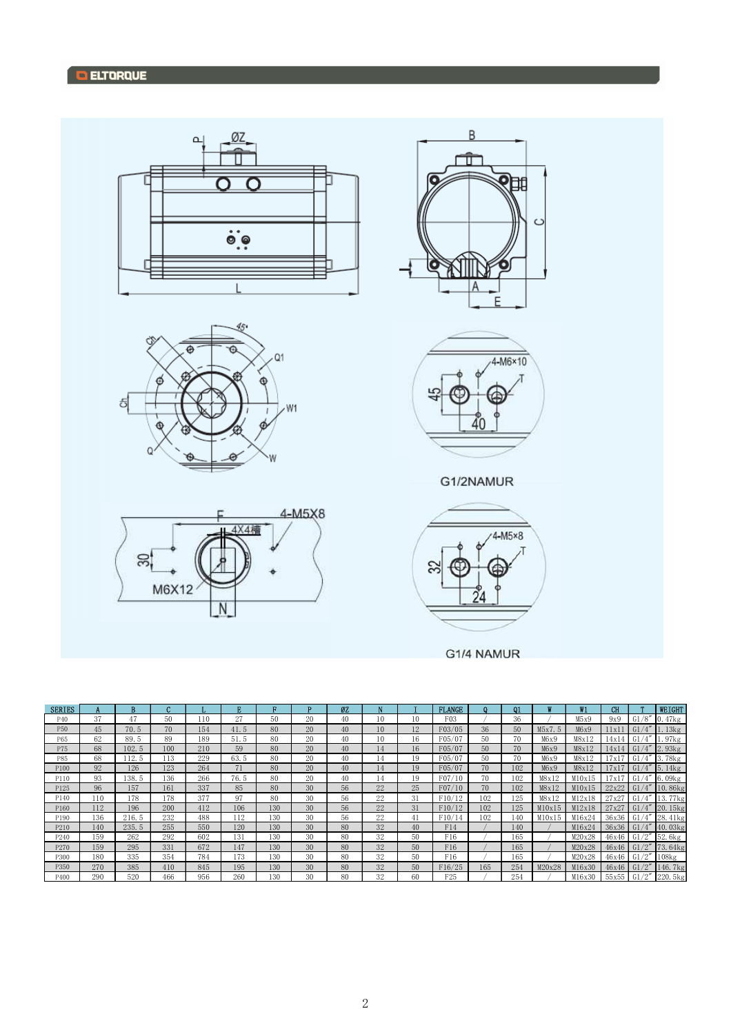

|  |  | <b>G1/4 NAMUR</b> |
|--|--|-------------------|
|  |  |                   |

| <b>SERIES</b> |     | R     | $\epsilon$ |     |      |     | n  | ØZ |                |    | <b>FLANGE</b>   |              | $\Omega$ 1 |        | W1     | CH    |                        | <b>WEIGHT</b>        |
|---------------|-----|-------|------------|-----|------|-----|----|----|----------------|----|-----------------|--------------|------------|--------|--------|-------|------------------------|----------------------|
| P40           | 37  | 47    | 50         | 110 | 27   | 50  | 20 | 40 | 10             | 10 | F03             |              | 36         |        | M5x9   | 9x9   | G1/8''                 | 0.47kg               |
| P50           | 45  | 70.5  | 70         | 154 | 41.5 | 80  | 20 | 40 | 1 <sub>0</sub> | 12 | F03/05          | 36           | 50         | M5x7.5 | M6x9   | 11x1  | G <sub>1</sub>         | 1.13kg               |
| P65           | 62  | 89.5  | 89         | 189 | 51.5 | 80  | 20 | 40 | 10             | 16 | F05/07          | 50           | 70         | M6x9   | M8x12  | 14x1  | G <sub>1</sub>         | 1.97kg               |
| P75           | 68  | 102.5 | 100        | 210 | 59   | 80  | 20 | 40 | 14             | 16 | F05/07          | $50^{\circ}$ | 70         | M6x9   | M8x12  | 14x14 | G1                     | 2.93kg               |
| P85           | 68  | 12.5  | 113        | 229 | 63.5 | 80  | 20 | 40 | 14             | 19 | F05/07          | 50           | 70         | M6x9   | M8x12  | 17x1  | G1                     | 3.78kg               |
| P100          | 92  | 126   | 123        | 264 | 71   | 80  | 20 | 40 | 14             | 19 | F05/07          | 70           | 102        | M6x9   | M8x12  | 17x17 | G1                     | 5.14kg               |
| P110          | 93  | 38.5  | 136        | 266 | 76.5 | 80  | 20 | 40 | 14             | 19 | F07/10          | 70           | 102        | M8x12  | M10x15 | 7x1   | /4''<br>G <sub>1</sub> | $6.09$ <sub>kg</sub> |
| P125          | 96  | 157   | 161        | 337 | 85   | 80  | 30 | 56 | 22             | 25 | F07/10          | 70           | 102        | M8x12  | M10x15 | 22x22 | G1/4''                 | 10.86kg              |
| P140          | 110 | 178   | 178        | 377 | 97   | 80  | 30 | 56 | 22             | 31 | F10/12          | 102          | 125        | M8x12  | M12x18 | 27x27 | /4''<br>G1             | 77kg<br>13.          |
| P160          | 112 | 196   | 200        | 412 | 106  | 130 | 30 | 56 | 22             | 31 | F10/12          | 102          | 125        | M10x15 | M12x18 | 27x27 | G1/4''                 | 20.15kg              |
| P190          | 136 | 216.5 | 232        | 488 | 112  | 130 | 30 | 56 | 22             | 41 | F10/14          | 102          | 140        | M10x15 | M16x24 | 36x36 | G1/4''                 | 28.41kg              |
| P210          | 140 | 235.5 | 255        | 550 | 120  | 130 | 30 | 80 | 32             | 40 | F14             |              | 140        |        | M16x24 | 36x36 | G1/4''                 | 40.03kg              |
| P240          | 159 | 262   | 292        | 602 | 131  | 130 | 30 | 80 | 32             | 50 | F16             |              | 165        |        | M20x28 | 46x46 | /2''<br>G <sub>1</sub> | 52.6kg               |
| P270          | 159 | 295   | 331        | 672 | 147  | 130 | 30 | 80 | 32             | 50 | F16             |              | 165        |        | M20x28 | 46x46 | G1/2"                  | 73.64kg              |
| P300          | 180 | 335   | 354        | 784 | 173  | 130 | 30 | 80 | 32             | 50 | F16             |              | 165        |        | M20x28 | 46x46 | /2"<br>G1              | $108$ <sub>kg</sub>  |
| P350          | 270 | 385   | 410        | 845 | 195  | 130 | 30 | 80 | 32             | 50 | F16/25          | 165          | 254        | M20x28 | M16x30 | 46x46 | G1/2"                  | 146.7kg              |
| P400          | 290 | 520   | 466        | 956 | 260  | 130 | 30 | 80 | 32             | 60 | F <sub>25</sub> |              | 254        |        | M16x30 | 55x55 | /2"<br>G1              | 220. 5kg             |